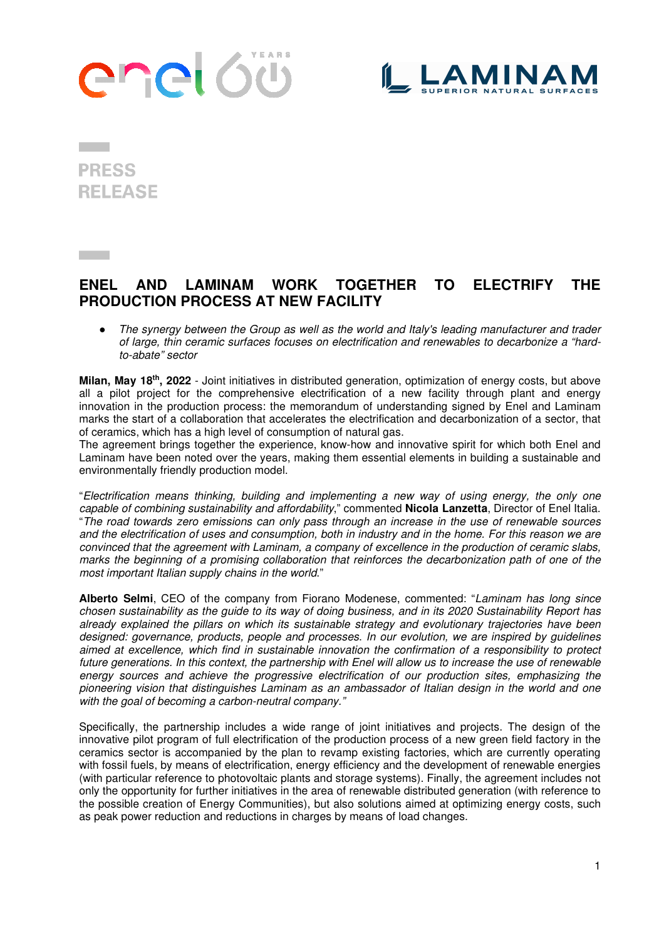# anel 60



**PRESS RELEASE** 

### **ENEL AND LAMINAM WORK TOGETHER TO ELECTRIFY THE PRODUCTION PROCESS AT NEW FACILITY**

The synergy between the Group as well as the world and Italy's leading manufacturer and trader *of large, thin ceramic surfaces focuses on electrification and renewables to decarbonize a "hardto-abate" sector* 

**Milan, May 18th, 2022** - Joint initiatives in distributed generation, optimization of energy costs, but above all a pilot project for the comprehensive electrification of a new facility through plant and energy innovation in the production process: the memorandum of understanding signed by Enel and Laminam marks the start of a collaboration that accelerates the electrification and decarbonization of a sector, that of ceramics, which has a high level of consumption of natural gas.

The agreement brings together the experience, know-how and innovative spirit for which both Enel and Laminam have been noted over the years, making them essential elements in building a sustainable and environmentally friendly production model.

"*Electrification means thinking, building and implementing a new way of using energy, the only one capable of combining sustainability and affordability*," commented **Nicola Lanzetta**, Director of Enel Italia. "*The road towards zero emissions can only pass through an increase in the use of renewable sources and the electrification of uses and consumption, both in industry and in the home. For this reason we are convinced that the agreement with Laminam, a company of excellence in the production of ceramic slabs, marks the beginning of a promising collaboration that reinforces the decarbonization path of one of the most important Italian supply chains in the world*."

**Alberto Selmi**, CEO of the company from Fiorano Modenese, commented: "*Laminam has long since chosen sustainability as the guide to its way of doing business, and in its 2020 Sustainability Report has already explained the pillars on which its sustainable strategy and evolutionary trajectories have been designed: governance, products, people and processes*. *In our evolution, we are inspired by guidelines aimed at excellence, which find in sustainable innovation the confirmation of a responsibility to protect future generations. In this context, the partnership with Enel will allow us to increase the use of renewable energy sources and achieve the progressive electrification of our production sites, emphasizing the pioneering vision that distinguishes Laminam as an ambassador of Italian design in the world and one with the goal of becoming a carbon-neutral company."* 

Specifically, the partnership includes a wide range of joint initiatives and projects. The design of the innovative pilot program of full electrification of the production process of a new green field factory in the ceramics sector is accompanied by the plan to revamp existing factories, which are currently operating with fossil fuels, by means of electrification, energy efficiency and the development of renewable energies (with particular reference to photovoltaic plants and storage systems). Finally, the agreement includes not only the opportunity for further initiatives in the area of renewable distributed generation (with reference to the possible creation of Energy Communities), but also solutions aimed at optimizing energy costs, such as peak power reduction and reductions in charges by means of load changes.